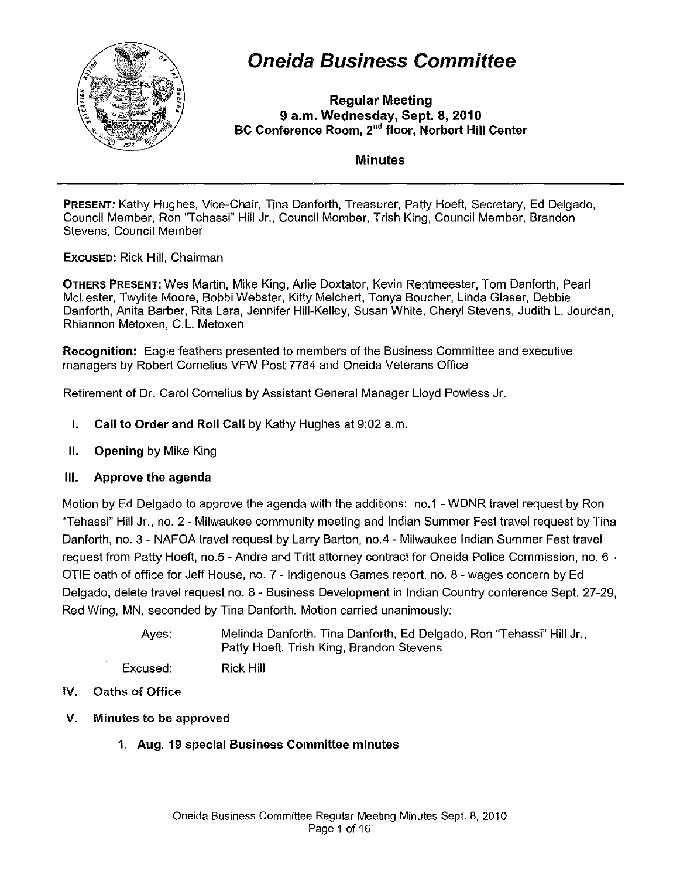

# **Oneida Business Committee**

Regular Meeting 9 a.m. Wednesday, Sept. 8, 2010 BC Conference Room, 2<sup>nd</sup> floor, Norbert Hill Center

### Minutes

PRESENT: Kathy Hughes, Vice-Chair, Tina Danforth, Treasurer, Patty Hoeft, Secretary, Ed Delgado, Council Member, Ron "Tehassi" Hill Jr., Council Member, Trish King, Council Member, Brandon Stevens, Council Member

EXCUSED: Rick Hill, Chairman

OTHERS PRESENT: Wes Martin, Mike King, Arlie Doxtator, Kevin Rentmeester, Tom Danforth, Pearl McLester, Twylite Moore, Bobbi Webster, Kitty Melchert, Tonya Boucher, Linda Glaser, Debbie Danforth, Anita Barber, Rita Lara, Jennifer Hill-Kelley, Susan White, Cheryl Stevens, Judith L. Jourdan, Rhiannon Metoxen, C.L. Metoxen

Recognition: Eagle feathers presented to members of the Business Committee and executive managers by Robert Cornelius VFW Post 7784 and Oneida Veterans Office

Retirement of Dr. Carol Cornelius by Assistant General Manager Lloyd Powless Jr.

- I. Call to Order and Roll Call by Kathy Hughes at 9:02 a.m.
- II. Opening by Mike King

#### III. Approve the agenda

Motion by Ed Delgado to approve the agenda with the additions: no.1 - WDNR travel request by Ron "Tehassi" Hill Jr., no. 2 - Milwaukee community meeting and Indian Summer Fest travel request by Tina Danforth, no. 3 - NAFOA travel request by Larry Barton, no.4 - Milwaukee Indian Summer Fest travel request from Patty Hoeft, no.5 - Andre and Tritt attorney contract for Oneida Police Commission, no. 6 -OTIE oath of office for Jeff House, no. 7 - Indigenous Games report, no. 8 - wages concern by Ed Delgado, delete travel request no. 8 - Business Development in Indian Country conference Sept. 27-29, Red Wing, MN, seconded by Tina Danforth. Motion carried unanimously:

> Ayes: Melinda Danforth, Tina Danforth, Ed Delgado, Ron "Tehassi" Hill Jr., Patty Hoeft, Trish King, Brandon Stevens

- IV. Oaths of Office
- V. Minutes to be approved
	- 1. Aug. 19 special Business Committee minutes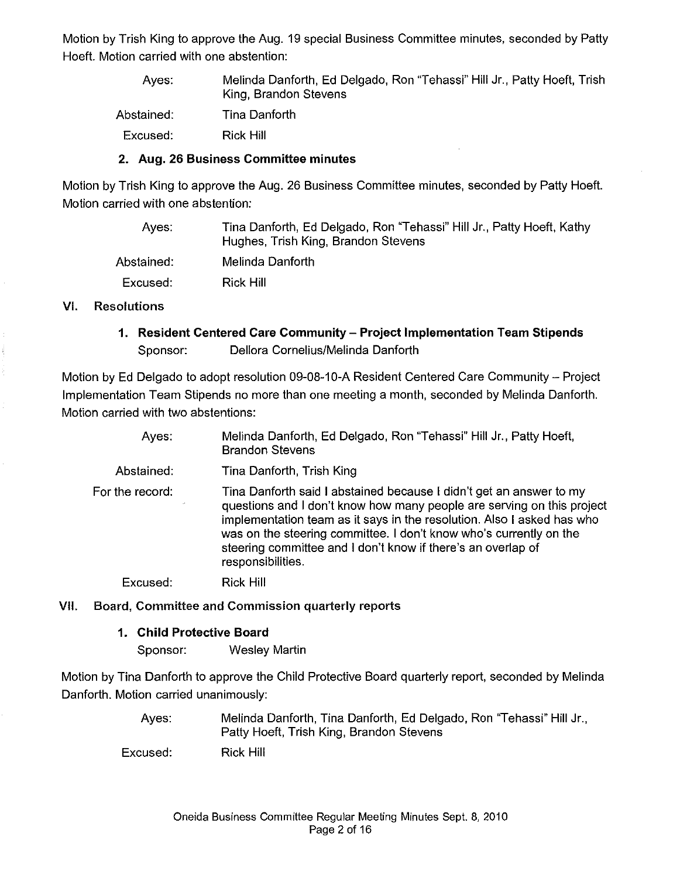Motion by Trish King to approve the Aug. 19 special Business Committee minutes, seconded by Patty Hoeft. Motion carried with one abstention:

Ayes: Abstained: Excused: Melinda Danforth, Ed Delgado, Ron "Tehassi" Hill Jr., Patty Hoeft, Trish King, Brandon Stevens Tina Danforth Rick Hill

#### 2. Aug. 26 Business Committee minutes

Motion by Trish King to approve the Aug. 26 Business Committee minutes, seconded by Patty Hoeft. Motion carried with one abstention:

Ayes: Abstained: Excused: Tina Danforth, Ed Delgado, Ron "Tehassi" Hill Jr., Patty Hoeft, Kathy Hughes, Trish King, Brandon Stevens Melinda Danforth Rick Hill

#### VI. Resolutions

1. Resident Centered Care Community - Project Implementation Team Stipends Sponsor: Dellora Cornelius/Melinda Danforth

Motion by Ed Delgado to adopt resolution 09-08-10-A Resident Centered Care Community - Project Implementation Team Stipends no more than one meeting a month, seconded by Melinda Danforth. Motion carried with two abstentions:

| Ayes:                           | Melinda Danforth, Ed Delgado, Ron "Tehassi" Hill Jr., Patty Hoeft,<br><b>Brandon Stevens</b>                                                                                                                                                                                                                                                                                       |
|---------------------------------|------------------------------------------------------------------------------------------------------------------------------------------------------------------------------------------------------------------------------------------------------------------------------------------------------------------------------------------------------------------------------------|
| Abstained:                      | Tina Danforth, Trish King                                                                                                                                                                                                                                                                                                                                                          |
| For the record:<br>$\mathbf{r}$ | Tina Danforth said I abstained because I didn't get an answer to my<br>questions and I don't know how many people are serving on this project<br>implementation team as it says in the resolution. Also I asked has who<br>was on the steering committee. I don't know who's currently on the<br>steering committee and I don't know if there's an overlap of<br>responsibilities. |
| Excused:                        | <b>Rick Hill</b>                                                                                                                                                                                                                                                                                                                                                                   |

#### VII. Board, Committee and Commission quarterly reports

#### 1. Child Protective Board

Sponsor: Wesley Martin

Motion by Tina Danforth to approve the Child Protective Board quarterly report, seconded by Melinda Danforth. Motion carried unanimously:

> Ayes: Melinda Danforth, Tina Danforth, Ed Delgado, Ron "Tehassi" Hill Jr., Patty Hoeft, Trish King, Brandon Stevens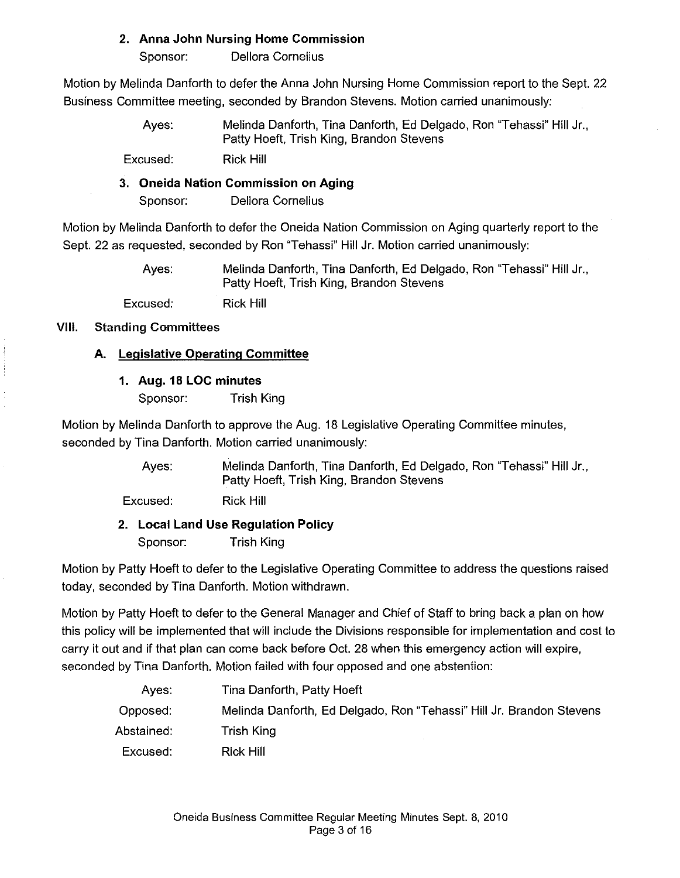# **2. Anna John Nursing Home Commission**

Sponsor: Dellora Cornelius

Motion by Melinda Danforth to defer the Anna John Nursing Home Commission report to the Sept. 22 Business Committee meeting, seconded by Brandon Stevens. Motion carried unanimously:

> Ayes: Melinda Danforth, Tina Danforth, Ed Delgado, Ron "Tehassi" Hill Jr., Patty Hoeft, Trish King, Brandon Stevens

Excused: Rick Hill

# **3. Oneida Nation Commission on Aging**

Sponsor: Dellora Cornelius

Motion by Melinda Danforth to defer the Oneida Nation Commission on Aging quarterly report to the Sept. 22 as requested, seconded by Ron "Tehassi" Hill Jr. Motion carried unanimously:

> Ayes: Excused: Melinda Danforth, Tina Danforth, Ed Delgado, Ron "Tehassi" Hill Jr., Patty Hoeft, Trish King, Brandon Stevens Rick Hill

# VIII. Standing **Committees**

# **A. Legislative Operating Committee**

# **1. Aug. 18 LOC minutes**

Sponsor: Trish King

Motion by Melinda Danforth to approve the Aug. 18 Legislative Operating Committee minutes, seconded by Tina Danforth. Motion carried unanimously:

> Ayes: Melinda Danforth, Tina Danforth, Ed Delgado, Ron "Tehassi" Hill Jr., Patty Hoeft, Trish King, Brandon Stevens

Excused: Rick Hill

**2. Local Land Use Regulation Policy**  Sponsor: Trish King

Motion by Patty Hoeft to defer to the Legislative Operating Committee to address the questions raised today, seconded by Tina Danforth. Motion withdrawn.

Motion by Patty Hoeft to defer to the General Manager and Chief of Staff to bring back a plan on how this policy will be implemented that will include the Divisions responsible for implementation and cost to carry it out and if that plan can come back before Oct. 28 when this emergency action will expire, seconded by Tina Danforth. Motion failed with four opposed and one abstention:

| Aves.      | Tina Danforth, Patty Hoeft                                           |
|------------|----------------------------------------------------------------------|
| Opposed:   | Melinda Danforth, Ed Delgado, Ron "Tehassi" Hill Jr. Brandon Stevens |
| Abstained: | Trish King                                                           |
| Excused:   | Rick Hill                                                            |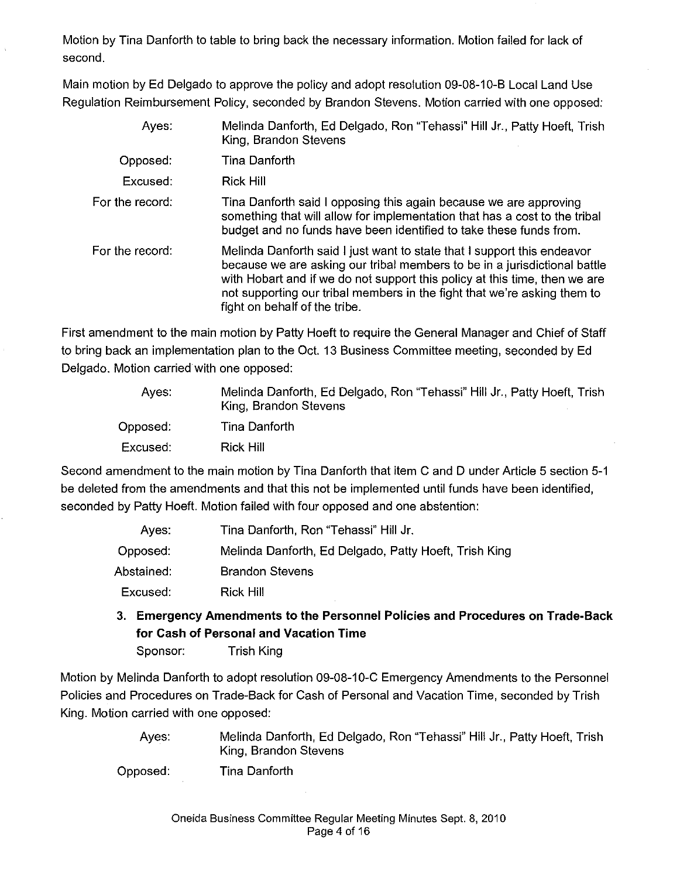Motion by Tina Danforth to table to bring back the necessary information. Motion failed for lack of second.

Main motion by Ed Delgado to approve the policy and adopt resolution 09-08-10-B Local Land Use Regulation Reimbursement Policy, seconded by Brandon Stevens. Motion carried with one opposed:

| Ayes:           | Melinda Danforth, Ed Delgado, Ron "Tehassi" Hill Jr., Patty Hoeft, Trish<br>King, Brandon Stevens                                                                                                                                                                                                                                               |
|-----------------|-------------------------------------------------------------------------------------------------------------------------------------------------------------------------------------------------------------------------------------------------------------------------------------------------------------------------------------------------|
| Opposed:        | Tina Danforth                                                                                                                                                                                                                                                                                                                                   |
| Excused:        | <b>Rick Hill</b>                                                                                                                                                                                                                                                                                                                                |
| For the record: | Tina Danforth said I opposing this again because we are approving<br>something that will allow for implementation that has a cost to the tribal<br>budget and no funds have been identified to take these funds from.                                                                                                                           |
| For the record: | Melinda Danforth said I just want to state that I support this endeavor<br>because we are asking our tribal members to be in a jurisdictional battle<br>with Hobart and if we do not support this policy at this time, then we are<br>not supporting our tribal members in the fight that we're asking them to<br>fight on behalf of the tribe. |

First amendment to the main motion by Patty Hoeft to require the General Manager and Chief of Staff to bring back an implementation plan to the Oct. 13 Business Committee meeting, seconded by Ed Delgado. Motion carried with one opposed:

| Aves:    | Melinda Danforth, Ed Delgado, Ron "Tehassi" Hill Jr., Patty Hoeft, Trish<br>King, Brandon Stevens |
|----------|---------------------------------------------------------------------------------------------------|
| Opposed: | Tina Danforth                                                                                     |
| Excused: | Rick Hill                                                                                         |

Second amendment to the main motion by Tina Danforth that item C and D under Article 5 section 5-1 be deleted from the amendments and that this not be implemented until funds have been identified, seconded by Patty Hoeft. Motion failed with four opposed and one abstention:

| Ayes:      | Tina Danforth, Ron "Tehassi" Hill Jr.                 |
|------------|-------------------------------------------------------|
| Opposed:   | Melinda Danforth, Ed Delgado, Patty Hoeft, Trish King |
| Abstained: | <b>Brandon Stevens</b>                                |
| Excused.   | <b>Rick Hill</b>                                      |

3. **Emergency Amendments to the Personnel Policies and Procedures on Trade-Back for Cash of Personal and Vacation Time** 

Sponsor: Trish King

Motion by Melinda Danforth to adopt resolution 09-08-10-C Emergency Amendments to the Personnel Policies and Procedures on Trade-Back for Cash of Personal and Vacation Time, seconded by Trish King. Motion carried with one opposed:

> Ayes: Melinda Danforth, Ed Delgado, Ron "Tehassi" Hill Jr., Patty Hoeft, Trish King, Brandon Stevens

Opposed: Tina Danforth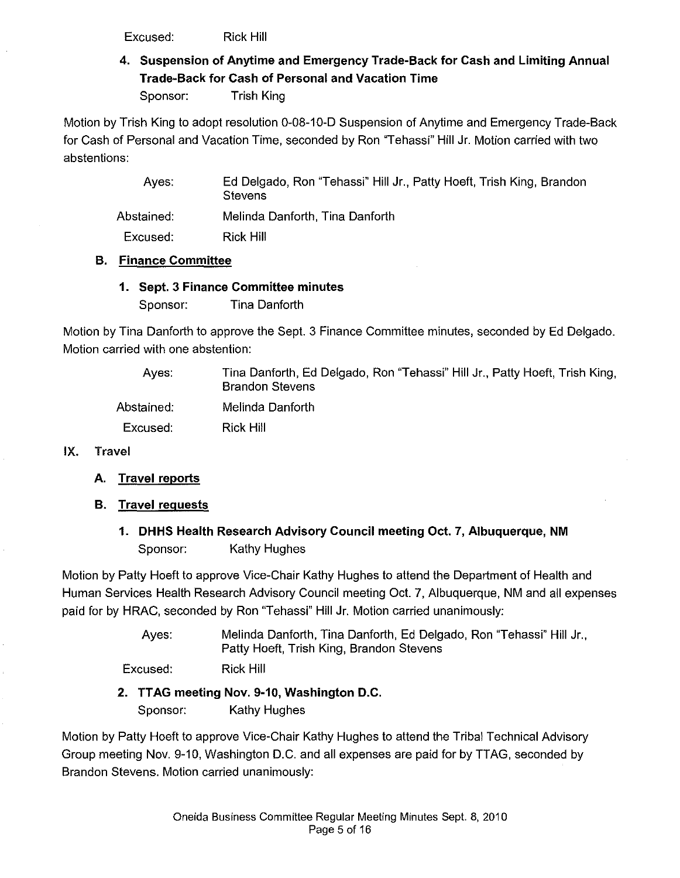Excused: Rick Hill

4. Suspension of Anytime and Emergency Trade-Back for Cash and Limiting Annual Trade-Back for Cash of Personal and Vacation Time

Sponsor: Trish King

Motion by Trish King to adopt resolution 0-08-10-D Suspension of Anytime and Emergency Trade-Back for Cash of Personal and Vacation Time, seconded by Ron "Tehassi" Hill Jr. Motion carried with two abstentions:

| Ed Delgado, Ron "Tehassi" Hill Jr., Patty Hoeft, Trish King, Brandon |
|----------------------------------------------------------------------|
| Melinda Danforth, Tina Danforth                                      |
|                                                                      |
|                                                                      |

### B. Finance Committee

# 1. Sept. 3 Finance Committee minutes

Sponsor: Tina Danforth

Motion by Tina Danforth to approve the Sept. 3 Finance Committee minutes, seconded by Ed Delgado. Motion carried with one abstention:

| Aves:      | Tina Danforth, Ed Delgado, Ron "Tehassi" Hill Jr., Patty Hoeft, Trish King,<br><b>Brandon Stevens</b> |
|------------|-------------------------------------------------------------------------------------------------------|
| Abstained: | Melinda Danforth                                                                                      |
| Excused:   | Rick Hill                                                                                             |

#### IX. Travel

- A. Travel reports
- **B.** Travel requests
	- 1. DHHS Health Research Advisory Council meeting Oct. 7, Albuquerque, NM Sponsor: Kathy Hughes

Motion by Patty Hoeft to approve Vice-Chair Kathy Hughes to attend the Department of Health and Human Services Health Research Advisory Council meeting Oct. 7, Albuquerque, NM and all expenses paid for by HRAC, seconded by Ron "Tehassi" Hill Jr. Motion carried unanimously:

> Ayes: Melinda Danforth, Tina Danforth, Ed Delgado, Ron "Tehassi" Hill Jr., Patty Hoeft, Trish King, Brandon Stevens

Excused: Rick Hill

# 2. TTAG meeting Nov. 9-10, Washington D.C.

Sponsor: Kathy Hughes

Motion by Patty Hoeft to approve Vice-Chair Kathy Hughes to attend the Tribal Technical Advisory Group meeting Nov. 9-10, Washington D.C. and all expenses are paid for by TTAG, seconded by Brandon Stevens. Motion carried unanimously: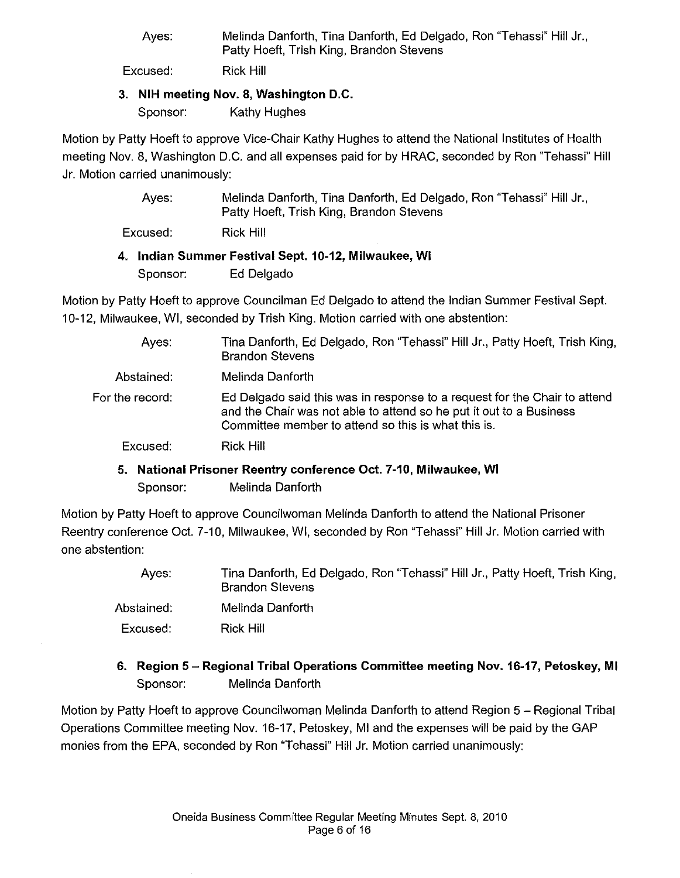Ayes: Melinda Danforth. Tina Danforth. Ed Delgado. Ron "Tehassi" Hill Jr.. Patty Hoeft. Trish King. Brandon Stevens

Excused: Rick Hill

#### 3. **NIH** meeting Nov. 8. Washington D.C.

Sponsor: Kathy Hughes

Motion by Patty Hoeft to approve Vice-Chair Kathy Hughes to attend the National Institutes of Health meeting Nov. 8. Washington D.C. and all expenses paid for by HRAC. seconded by Ron 'Tehassi" Hill Jr. Motion carried unanimously:

| Ayes: | Melinda Danforth, Tina Danforth, Ed Delgado, Ron "Tehassi" Hill Jr., |
|-------|----------------------------------------------------------------------|
|       | Patty Hoeft, Trish King, Brandon Stevens                             |

Excused: Rick Hill

### 4. Indian Summer Festival Sept. 10-12, Milwaukee, **WI**

Sponsor: Ed Delgado

Motion by Patty Hoeft to approve Councilman Ed Delgado to attend the Indian Summer Festival Sept. 10-12, Milwaukee, WI. seconded by Trish King. Motion carried with one abstention:

| Ayes.           | Tina Danforth, Ed Delgado, Ron "Tehassi" Hill Jr., Patty Hoeft, Trish King,<br><b>Brandon Stevens</b>                                                                                                   |
|-----------------|---------------------------------------------------------------------------------------------------------------------------------------------------------------------------------------------------------|
| Abstained:      | Melinda Danforth                                                                                                                                                                                        |
| For the record: | Ed Delgado said this was in response to a request for the Chair to attend<br>and the Chair was not able to attend so he put it out to a Business<br>Committee member to attend so this is what this is. |
| Excused:        | Rick Hill                                                                                                                                                                                               |
|                 |                                                                                                                                                                                                         |

# 5. National Prisoner Reentry conference Oct. 7-10, Milwaukee, **WI**  Sponsor: Melinda Danforth

Motion by Patty Hoeft to approve Councilwoman Melinda Danforth to attend the National Prisoner Reentry conference Oct. 7-10. Milwaukee. WI. seconded by Ron "Tehassi" Hill Jr. Motion carried with one abstention:

| Aves:      | Tina Danforth, Ed Delgado, Ron "Tehassi" Hill Jr., Patty Hoeft, Trish King,<br><b>Brandon Stevens</b> |
|------------|-------------------------------------------------------------------------------------------------------|
| Abstained: | Melinda Danforth                                                                                      |
| Excused:   | Rick Hill                                                                                             |

# 6. Region 5 - Regional Tribal Operations Committee meeting Nov. 16-17, Petoskey, **MI**  Sponsor: Melinda Danforth

Motion by Patty Hoeft to approve Councilwoman Melinda Danforth to attend Region 5 - Regional Tribal Operations Committee meeting Nov. 16-17. Petoskey. MI and the expenses will be paid by the GAP monies from the EPA. seconded by Ron "Tehassi" Hill Jr. Motion carried unanimously: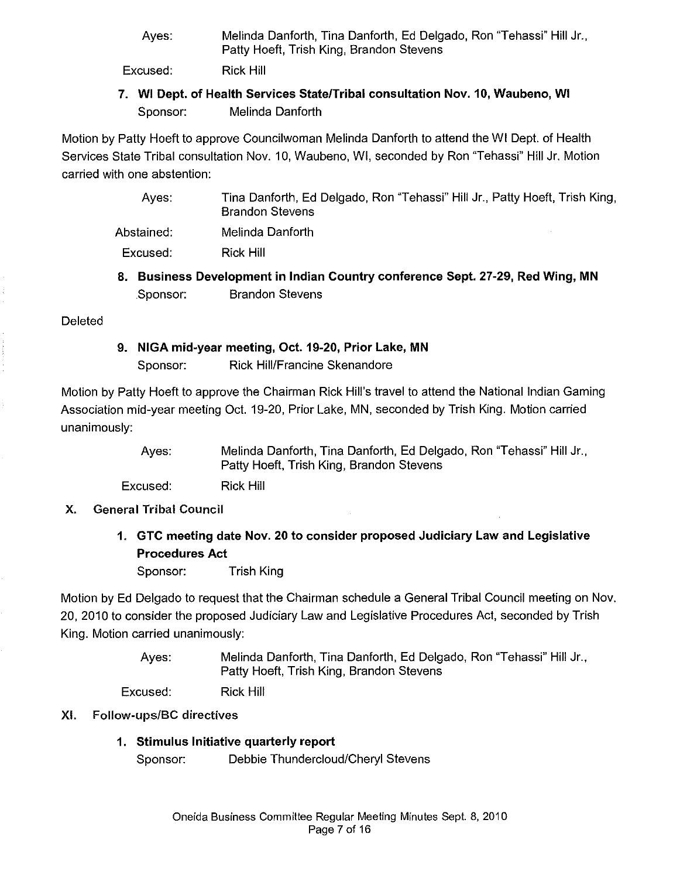Ayes: Melinda Danforth, Tina Danforth, Ed Delgado, Ron "Tehassi" Hill Jr., Patty Hoeft, Trish King, Brandon Stevens

Excused: Rick Hill

7. WI Dept. of Health Services StatelTribal consultation Nov. 10, Waubeno, WI Sponsor: Melinda Danforth

Motion by Patty Hoeft to approve Councilwoman Melinda Danforth to attend the WI Dept. of Health Services State Tribal consultation Nov. 10, Waubeno, WI, seconded by Ron "Tehassi" Hill Jr. Motion carried with one abstention:

- Ayes: Tina Danforth, Ed Delgado, Ron "Tehassi" Hill Jr., Patty Hoeft, Trish King, Brandon Stevens
- Abstained: Melinda Danforth

Excused: Rick Hill

8. Business Development in Indian Country conference Sept. 27-29, Red Wing, MN Sponsor: Brandon Stevens

**Deleted** 

9. NIGA mid-year meeting, Oct. 19-20, Prior Lake, MN Sponsor: Rick Hill/Francine Skenandore

Motion by Patty Hoeft to approve the Chairman Rick Hill's travel to attend the National Indian Gaming Association mid-year meeting Oct. 19-20, Prior Lake, MN, seconded by Trish King. Motion carried unanimously:

> Ayes: Melinda Danforth, Tina Danforth, Ed Delgado, Ron "Tehassi" Hill Jr., Patty Hoeft, Trish King, Brandon Stevens

Excused: Rick Hill

- X. General Tribal Council
	- 1. GTC meeting date Nov. 20 to consider proposed Judiciary Law and Legislative Procedures Act

Sponsor: Trish King

Motion by Ed Delgado to request that the Chairman schedule a General Tribal Council meeting on Nov. 20,2010 to consider the proposed Judiciary Law and Legislative Procedures Act, seconded by Trish King. Motion carried unanimously:

> Ayes: Melinda Danforth, Tina Danforth, Ed Delgado, Ron "Tehassi" Hill Jr., Patty Hoeft, Trish King, Brandon Stevens

Excused: Rick Hill

#### XI. Follow-ups/BC directives

1. Stimulus Initiative quarterly report Sponsor: Debbie Thundercloud/Cheryl Stevens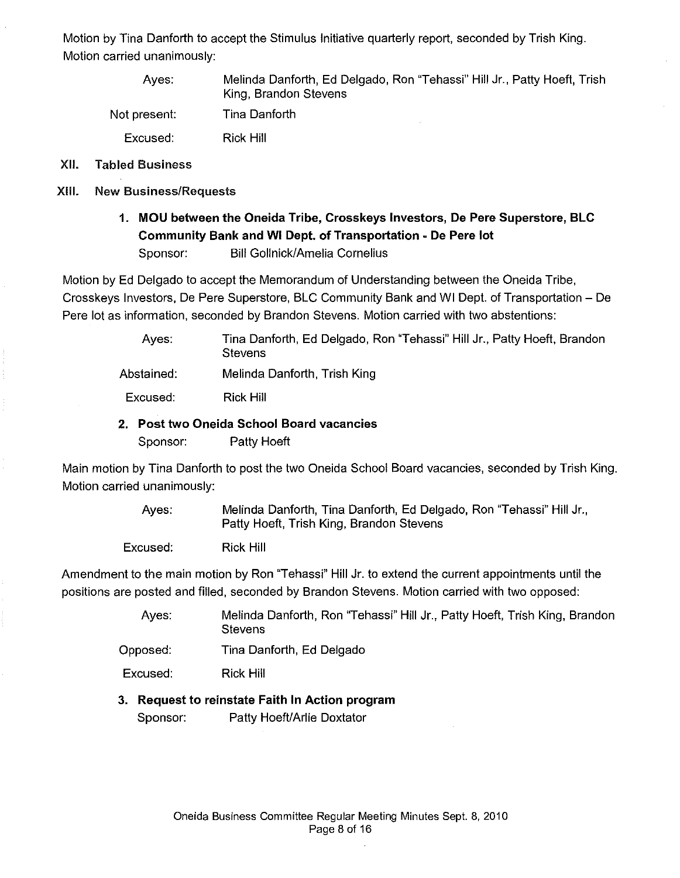Motion by Tina Danforth to accept the Stimulus Initiative quarterly report, seconded by Trish King. Motion carried unanimously:

Ayes: Not present: Excused: Melinda Danforth, Ed Delgado, Ron "Tehassi" Hill Jr., Patty Hoeft, Trish King, Brandon Stevens Tina Danforth Rick Hill

- XII. Tabled Business
- XIII. New Business/Requests
	- 1. MOU between the Oneida Tribe, Crosskeys Investors, De Pere Superstore, BLC Community Bank and WI Dept. of Transportation - De Pere lot Sponsor: Bill Gollnick/Amelia Cornelius

Motion by Ed Delgado to accept the Memorandum of Understanding between the Oneida Tribe, Crosskeys Investors, De Pere Superstore, BLC Community Bank and WI Dept. of Transportation - De Pere lot as information, seconded by Brandon Stevens. Motion carried with two abstentions:

> Ayes: Abstained: Tina Danforth, Ed Delgado, Ron "Tehassi" Hill Jr., Patty Hoeft, Brandon **Stevens** Melinda Danforth, Trish King

Excused: Rick Hill

2. Post two Oneida School Board vacancies

Sponsor: Patty Hoeft

Main motion by Tina Danforth to post the two Oneida School Board vacancies, seconded by Trish King. Motion carried unanimously:

> Ayes: Melinda Danforth, Tina Danforth, Ed Delgado, Ron "Tehassi" Hill Jr., Patty Hoeft, Trish King, Brandon Stevens

Excused: Rick Hill

Amendment to the main motion by Ron "Tehassi" Hill Jr. to extend the current appointments until the positions are posted and filled, seconded by Brandon Stevens. Motion carried with two opposed:

- Ayes: Melinda Danforth, Ron "Tehassi" Hill Jr., Patty Hoeft, Trish King, Brandon **Stevens**
- Opposed: Tina Danforth, Ed Delgado

Excused: Rick Hill

#### 3. Request to reinstate Faith In Action program

Sponsor: Patty Hoeft/Arlie Doxtator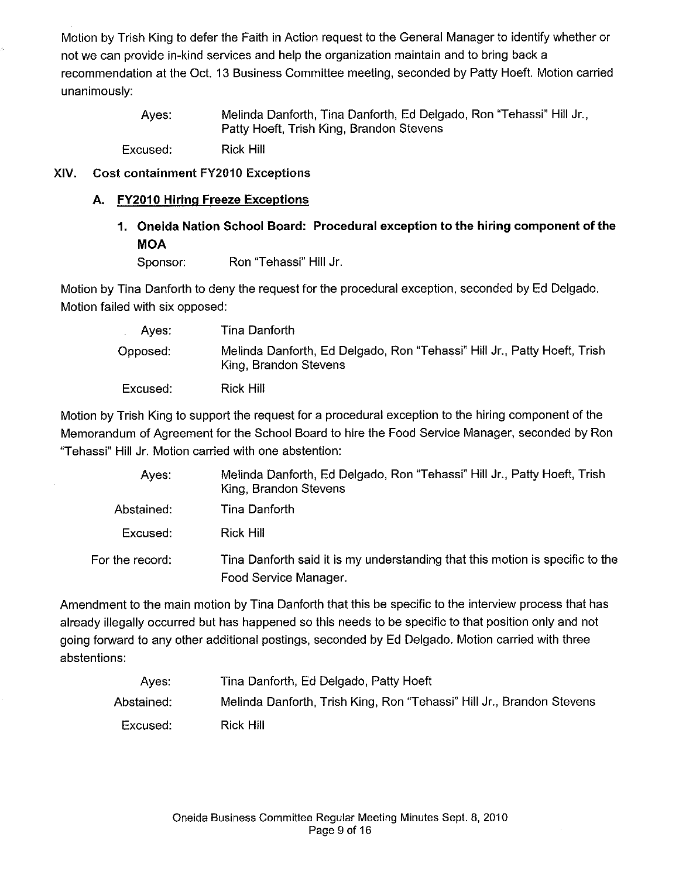Motion by Trish King to defer the Faith in Action request to the General Manager to identify whether or not we can provide in-kind services and help the organization maintain and to bring back a recommendation at the Oct. 13 Business Committee meeting, seconded by Patty Hoeft. Motion carried unanimously:

> Ayes: Melinda Danforth, Tina Danforth, Ed Delgado, Ron "Tehassi" Hill Jr., Patty Hoeft, Trish King, Brandon Stevens

Excused: Rick Hill

# XIV. Cost containment FY2010 Exceptions

# **A.** FY2010 **Hiring** Freeze **Exceptions**

**1. Oneida Nation School Board: Procedural exception to the hiring component of the MOA** 

Sponsor: Ron "Tehassi" Hill Jr.

Motion by Tina Danforth to deny the request for the procedural exception, seconded by Ed Delgado. Motion failed with six opposed:

| Aves:    | Tina Danforth                                                                                     |
|----------|---------------------------------------------------------------------------------------------------|
| Opposed: | Melinda Danforth, Ed Delgado, Ron "Tehassi" Hill Jr., Patty Hoeft, Trish<br>King, Brandon Stevens |
| Excused: | Rick Hill                                                                                         |

Motion by Trish King to support the request for a procedural exception to the hiring component of the Memorandum of Agreement for the School Board to hire the Food Service Manager, seconded by Ron "Tehassi" Hill Jr. Motion carried with one abstention:

| Ayes:           | Melinda Danforth, Ed Delgado, Ron "Tehassi" Hill Jr., Patty Hoeft, Trish<br>King, Brandon Stevens      |
|-----------------|--------------------------------------------------------------------------------------------------------|
| Abstained:      | Tina Danforth.                                                                                         |
| Excused:        | <b>Rick Hill</b>                                                                                       |
| For the record: | Tina Danforth said it is my understanding that this motion is specific to the<br>Food Service Manager. |

Amendment to the main motion by Tina Danforth that this be specific to the interview process that has already illegally occurred but has happened so this needs to be specific to that position only and not going forward to any other additional postings, seconded by Ed Delgado. Motion carried with three abstentions:

| Aves:      | Tina Danforth, Ed Delgado, Patty Hoeft                                |
|------------|-----------------------------------------------------------------------|
| Abstained: | Melinda Danforth, Trish King, Ron "Tehassi" Hill Jr., Brandon Stevens |
| Excused:   | Rick Hill                                                             |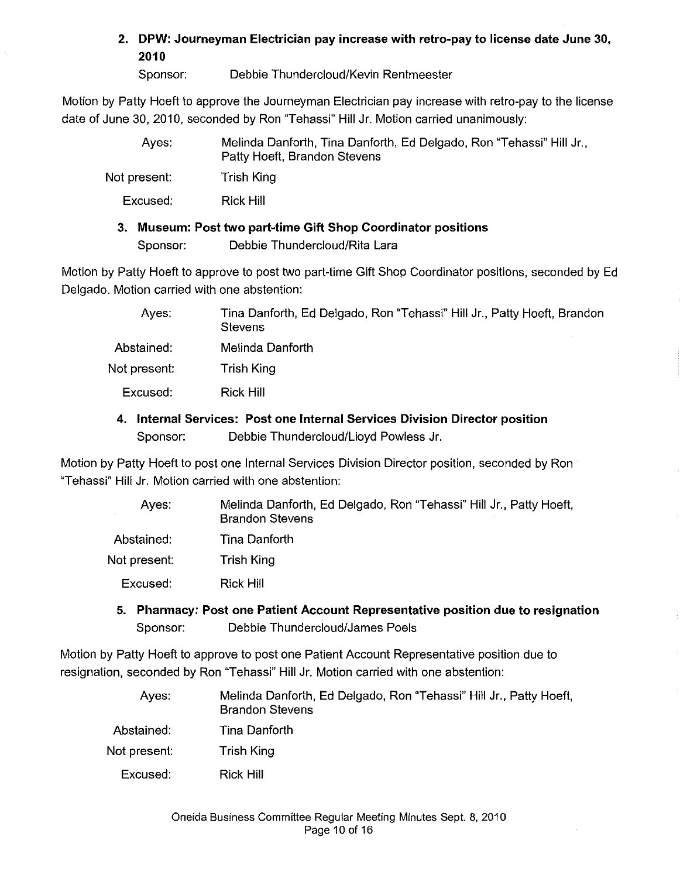2. DPW: Journeyman Electrician pay increase with retro-pay to license date June 30, 2010

Sponsor: Debbie Thundercloud/Kevin Rentmeester

Motion by Patty Hoeft to approve the Journeyman Electrician pay increase with retro-pay to the license date of June 30, 2010. seconded by Ron "Tehassi" Hill Jr. Motion carried unanimously:

| Aves:        | Melinda Danforth, Tina Danforth, Ed Delgado, Ron "Tehassi" Hill Jr.,<br>Patty Hoeft, Brandon Stevens |
|--------------|------------------------------------------------------------------------------------------------------|
| Not present: | <b>Trish King</b>                                                                                    |
| Excused:     | Rick Hill                                                                                            |
| З.           | Museum: Post two part-time Gift Shop Coordinator positions                                           |

Sponsor: Debbie Thundercloud/Rita Lara

Motion by Patty Hoeft to approve to post two part-time Gift Shop Coordinator positions. seconded by Ed Delgado. Motion carried with one abstention:

| Ayes         | Tina Danforth, Ed Delgado, Ron "Tehassi" Hill Jr., Patty Hoeft, Brandon<br>Stevens |
|--------------|------------------------------------------------------------------------------------|
| Abstained:   | Melinda Danforth                                                                   |
| Not present: | Trish King                                                                         |
| Excused:     | Rick Hill                                                                          |
|              |                                                                                    |

## 4. Internal Services: Post one Internal Services Division Director position Sponsor: Debbie Thundercloud/Lloyd Powless Jr.

Motion by Patty Hoeft to post one Internal Services Division Director position, seconded by Ron "Tehassi" Hill Jr. Motion carried with one abstention:

| Ayes:        | Melinda Danforth, Ed Delgado, Ron "Tehassi" Hill Jr., Patty Hoeft,<br><b>Brandon Stevens</b> |
|--------------|----------------------------------------------------------------------------------------------|
| Abstained:   | Tina Danforth                                                                                |
| Not present: | Trish King                                                                                   |
| Excused:     | Rick Hill                                                                                    |

5. Pharmacy: Post one Patient Account Representative position due to resignation Sponsor: Debbie Thundercloud/James Poels

Motion by Patty Hoeft to approve to post one Patient Account Representative position due to resignation, seconded by Ron "Tehassi" Hill Jr. Motion carried with one abstention:

| Aves:        | Melinda Danforth, Ed Delgado, Ron "Tehassi" Hill Jr., Patty Hoeft,<br><b>Brandon Stevens</b> |
|--------------|----------------------------------------------------------------------------------------------|
| Abstained.   | Tina Danforth                                                                                |
| Not present: | Trish King                                                                                   |
| Excused:     | Rick Hill                                                                                    |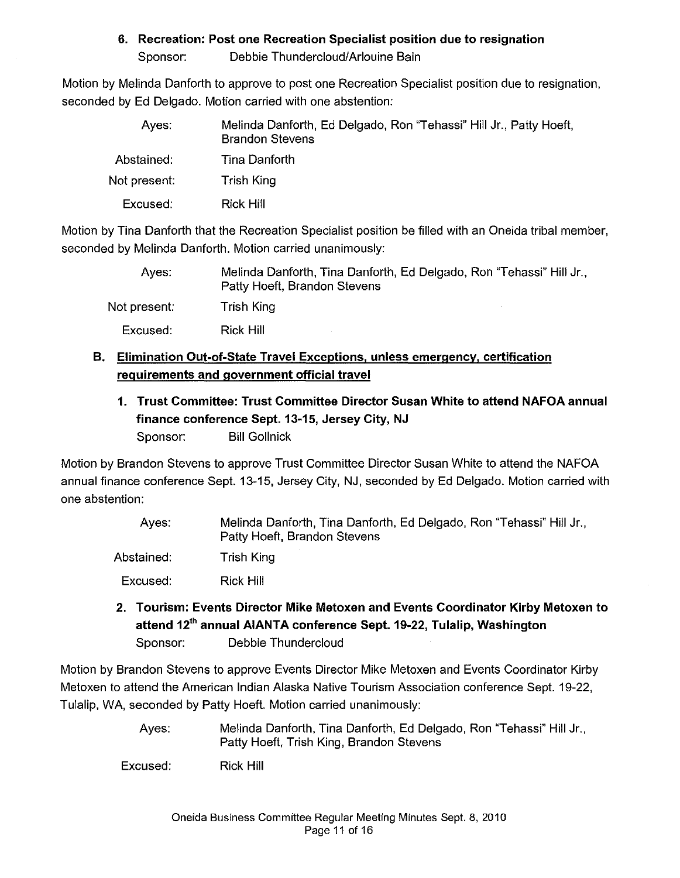## 6. Recreation: Post one Recreation Specialist position due to resignation

Sponsor: Debbie Thundercloud/Arlouine Bain

Motion by Melinda Danforth to approve to post one Recreation Specialist position due to resignation, seconded by Ed Delgado. Motion carried with one abstention:

| Aves:        | Melinda Danforth, Ed Delgado, Ron "Tehassi" Hill Jr., Patty Hoeft,<br><b>Brandon Stevens</b> |
|--------------|----------------------------------------------------------------------------------------------|
| Abstained:   | Tina Danforth                                                                                |
| Not present: | Trish King                                                                                   |
| Excused:     | Rick Hill                                                                                    |

Motion by Tina Danforth that the Recreation Specialist position be filled with an Oneida tribal member, seconded by Melinda Danforth. Motion carried unanimously:

| Aves:        | Melinda Danforth, Tina Danforth, Ed Delgado, Ron "Tehassi" Hill Jr.,<br>Patty Hoeft, Brandon Stevens |
|--------------|------------------------------------------------------------------------------------------------------|
| Not present: | Trish King                                                                                           |
| Excused:     | <b>Rick Hill</b>                                                                                     |

# B. Elimination Out-of-State Travel Exceptions. unless emergency, certification requirements and government official travel

1. Trust Committee: Trust Committee Director Susan White to attend NAFOA annual finance conference Sept. 13-15, Jersey City, NJ Sponsor: Bill Gollnick

Motion by Brandon Stevens to approve Trust Committee Director Susan White to attend the NAFOA annual finance conference Sept. 13-15, Jersey City, NJ, seconded by Ed Delgado. Motion carried with one abstention:

| Aves:      | Melinda Danforth, Tina Danforth, Ed Delgado, Ron "Tehassi" Hill Jr., |
|------------|----------------------------------------------------------------------|
|            | Patty Hoeft, Brandon Stevens                                         |
| Abstained: | Trish King                                                           |

Excused: Rick Hill

2. Tourism: Events Director Mike Metoxen and Events Coordinator Kirby Metoxen to attend 12<sup>th</sup> annual AIANTA conference Sept. 19-22, Tulalip, Washington Sponsor: Debbie Thundercloud

Motion by Brandon Stevens to approve Events Director Mike Metoxen and Events Coordinator Kirby Metoxen to attend the American Indian Alaska Native Tourism Association conference Sept. 19-22, Tulalip, WA, seconded by Patty Hoeft. Motion carried unanimously:

> Ayes: Melinda Danforth, Tina Danforth, Ed Delgado, Ron "Tehassi" Hill Jr., Patty Hoeft, Trish King, Brandon Stevens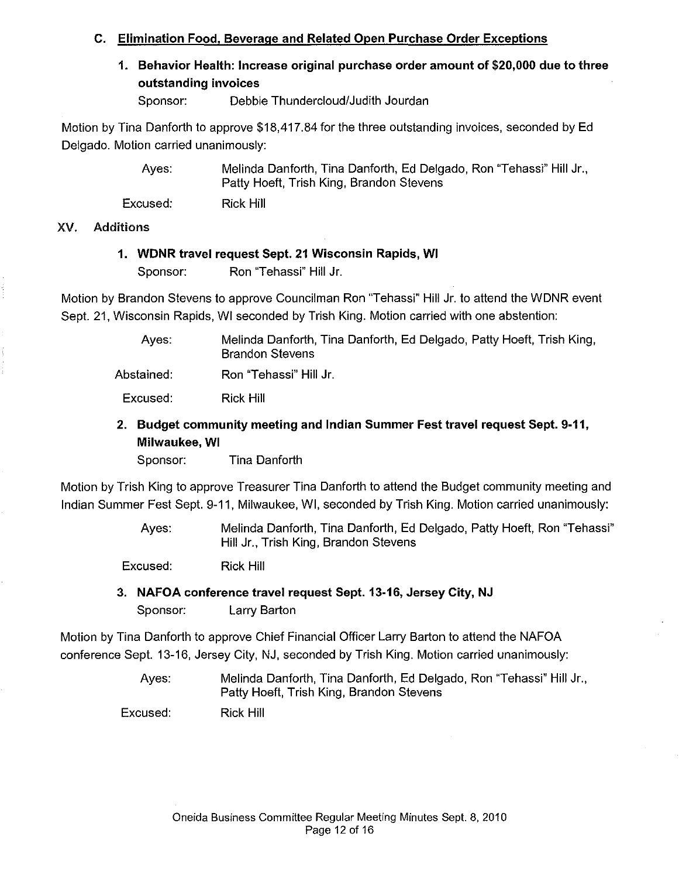## C. Elimination Food, Beverage and Related Open Purchase Order Exceptions

1. Behavior Health: Increase original purchase order amount of \$20,000 due to three outstanding invoices

Sponsor: Debbie Thundercloud/Judith Jourdan

Motion by Tina Danforth to approve \$18,417.84 for the three outstanding invoices, seconded by Ed Delgado. Motion carried unanimously:

> Ayes: Melinda Danforth, Tina Danforth, Ed Delgado, Ron "Tehassi" Hill Jr., Patty Hoeft, Trish King, Brandon Stevens

Excused: Rick Hill

#### XV. Additions

#### 1. WDNR travel request Sept. 21 Wisconsin Rapids, WI

Sponsor: Ron "Tehassi" Hill Jr.

Motion by Brandon Stevens to approve Councilman Ron "Tehassi" Hill Jr. to attend the WDNR event Sept. 21, Wisconsin Rapids, WI seconded by Trish King. Motion carried with one abstention:

> Ayes: Melinda Danforth, Tina Danforth, Ed Delgado, Patty Hoeft, Trish King, Brandon Stevens

Abstained: Ron "Tehassi" Hill Jr.

Excused: Rick Hill

# 2. Budget community meeting and Indian Summer Fest travel request Sept. 9·11, Milwaukee, WI

Sponsor: Tina Danforth

Motion by Trish King to approve Treasurer Tina Danforth to attend the Budget community meeting and Indian Summer Fest Sept. 9·11, Milwaukee, WI, seconded by Trish King. Motion carried unanimously:

> Ayes: Melinda Danforth, Tina Danforth, Ed Delgado, Patty Hoeft, Ron "Tehassi" Hill Jr., Trish King, Brandon Stevens

Excused: Rick Hill

3. NAFOA conference travel request Sept. 13·16, Jersey City, NJ Sponsor: Larry Barton

Motion by Tina Danforth to approve Chief Financial Officer Larry Barton to attend the NAFOA conference Sept. 13·16, Jersey City, NJ, seconded by Trish King. Motion carried unanimously:

> Ayes: Melinda Danforth, Tina Danforth, Ed Delgado, Ron "Tehassi" Hill Jr., Patty Hoeft, Trish King, Brandon Stevens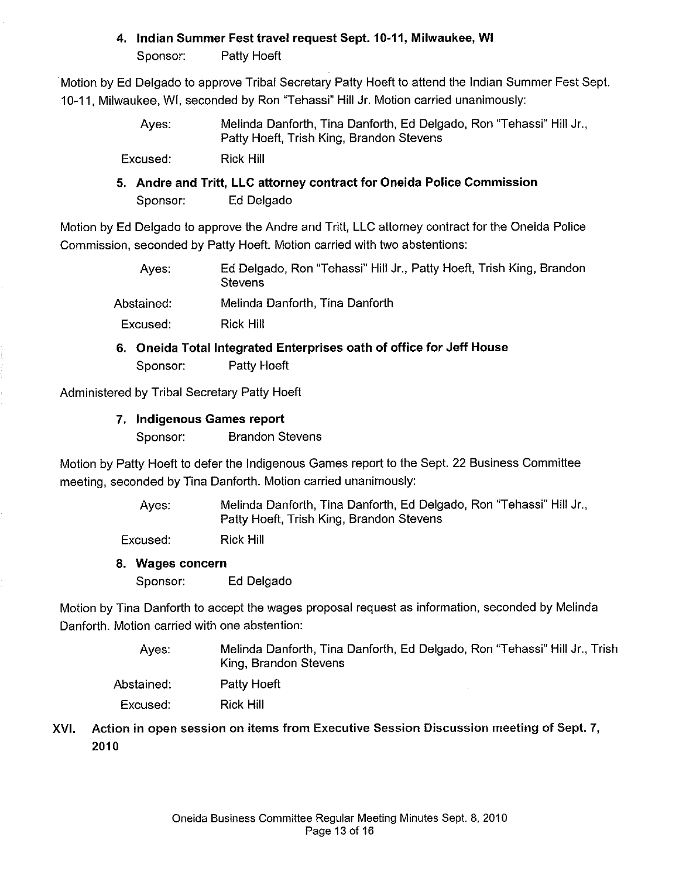# 4. Indian Summer Fest travel request Sept. 10-11, Milwaukee, **WI**

Sponsor: Patty Hoeft

Motion by Ed Delgado to approve Tribal Secretary Patty Hoeft to attend the Indian Summer Fest Sept. 10-11. Milwaukee, WI, seconded by Ron "Tehassi" Hill Jr. Motion carried unanimously:

> Ayes: Melinda Danforth, Tina Danforth. Ed Delgado, Ron "Tehassi" Hill Jr., Patty Hoeft, Trish King, Brandon Stevens

Excused: Rick Hill

5. Andre and Tritt, LLC attorney contract for Oneida Police Commission Sponsor: Ed Delgado

Motion by Ed Delgado to approve the Andre and Tritt, LLC attorney contract for the Oneida Police Commission, seconded by Patty Hoeft. Motion carried with two abstentions:

| Aves:      | Ed Delgado, Ron "Tehassi" Hill Jr., Patty Hoeft, Trish King, Brandon<br><b>Stevens</b> |
|------------|----------------------------------------------------------------------------------------|
| Abstained: | Melinda Danforth, Tina Danforth                                                        |
| Excused:   | Rick Hill                                                                              |
|            |                                                                                        |

# 6. Oneida Total Integrated Enterprises oath of office for Jeff House Sponsor: Patty Hoeft

Administered by Tribal Secretary Patty Hoeft

7. Indigenous Games report

Sponsor: Brandon Stevens

Motion by Patty Hoeft to defer the Indigenous Games report to the Sept. 22 Business Committee meeting, seconded by Tina Danforth. Motion carried unanimously:

> Ayes: Melinda Danforth, Tina Danforth, Ed Delgado, Ron "Tehassi" Hill Jr., Patty Hoeft, Trish King, Brandon Stevens

Excused: Rick Hill

8. Wages concern

Sponsor: Ed Delgado

Motion by Tina Danforth to accept the wages proposal request as information, seconded by Melinda Danforth. Motion carried with one abstention:

> Ayes: Melinda Danforth, Tina Danforth, Ed Delgado, Ron "Tehassi" Hill Jr., Trish King, Brandon Stevens

Abstained: Patty Hoeft

Excused: Rick Hill

XVI. Action in open session on items from Executive Session Discussion meeting of Sept. 7, 2010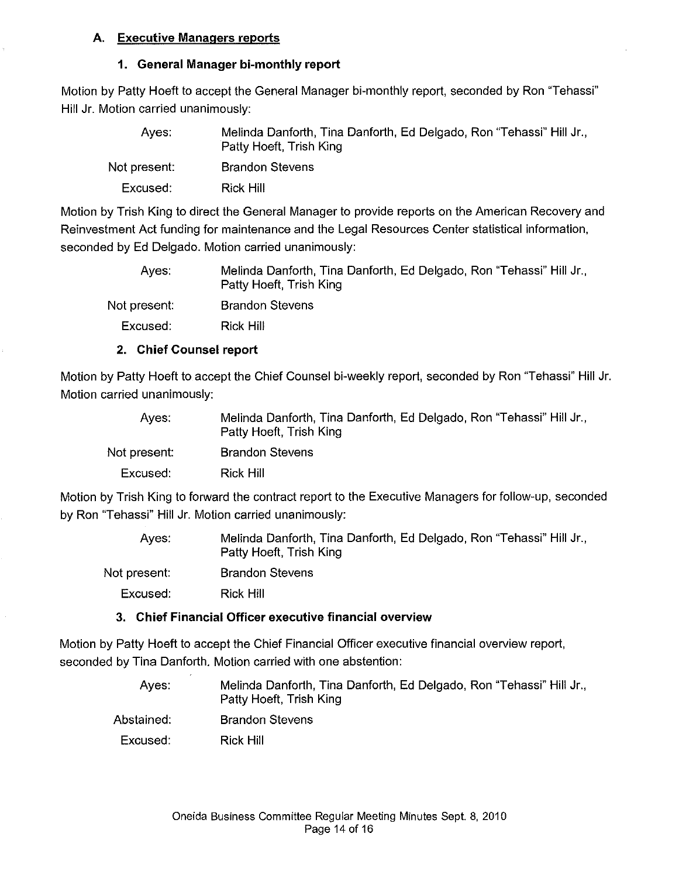### A. Executive Managers reports

### 1. General Manager bi-monthly report

Motion by Patty Hoeft to accept the General Manager bi-monthly report, seconded by Ron "Tehassi" Hill Jr. Motion carried unanimously:

| Aves:        | Melinda Danforth, Tina Danforth, Ed Delgado, Ron "Tehassi" Hill Jr.,<br>Patty Hoeft, Trish King |
|--------------|-------------------------------------------------------------------------------------------------|
| Not present: | <b>Brandon Stevens</b>                                                                          |
| Excused:     | Rick Hill                                                                                       |

Motion by Trish King to direct the General Manager to provide reports on the American Recovery and Reinvestment Act funding for maintenance and the Legal Resources Center statistical information, seconded by Ed Delgado. Motion carried unanimously:

| Melinda Danforth, Tina Danforth, Ed Delgado, Ron "Tehassi" Hill Jr.,<br>Patty Hoeft, Trish King |
|-------------------------------------------------------------------------------------------------|
| <b>Brandon Stevens</b>                                                                          |
| Rick Hill                                                                                       |
|                                                                                                 |

# 2. Chief Counsel report

Motion by Patty Hoeft to accept the Chief Counsel bi-weekly report, seconded by Ron "Tehassi" Hill Jr. Motion carried unanimously:

| Melinda Danforth, Tina Danforth, Ed Delgado, Ron "Tehassi" Hill Jr., |
|----------------------------------------------------------------------|
|                                                                      |
|                                                                      |
|                                                                      |

Motion by Trish King to forward the contract report to the Executive Managers for follow-up, seconded by Ron "Tehassi" Hill Jr. Motion carried unanimously:

| Aves:        | Melinda Danforth, Tina Danforth, Ed Delgado, Ron "Tehassi" Hill Jr.,<br>Patty Hoeft, Trish King |
|--------------|-------------------------------------------------------------------------------------------------|
| Not present: | <b>Brandon Stevens</b>                                                                          |
| Excused:     | Rick Hill                                                                                       |
|              |                                                                                                 |

# 3. Chief Financial Officer executive financial overview

Motion by Patty Hoeft to accept the Chief Financial Officer executive financial overview report, seconded by Tina Danforth. Motion carried with one abstention:

- Ayes: Melinda Danforth, Tina Danforth, Ed Delgado, Ron "Tehassi" Hill Jr., Patty Hoeft, Trish King Brandon Stevens
- Abstained:
- Excused: Rick Hill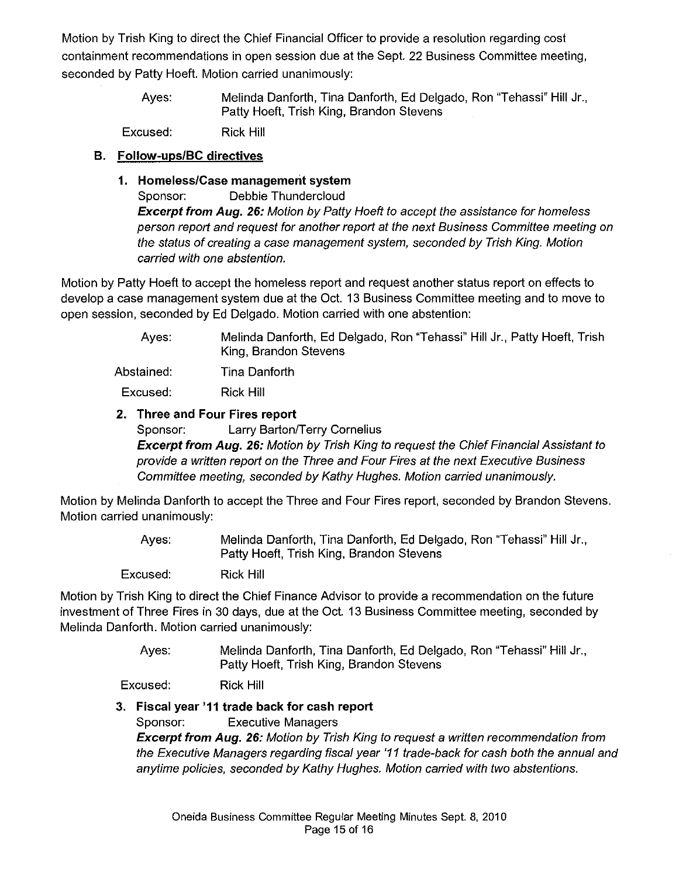Motion by Trish King to direct the Chief Financial Officer to provide a resolution regarding cost containment recommendations in open session due at the Sept. 22 Business Committee meeting, seconded by Patty Hoeft. Motion carried unanimously:

> Ayes: Melinda Danforth, Tina Danforth, Ed Delgado, Ron "Tehassi" Hill Jr., Patty Hoeft, Trish King, Brandon Stevens

Excused: Rick Hill

# B. Follow-ups/BC directives

1. Homeless/Case management system

Sponsor: Debbie Thundercloud

**Excerpt from Aug. 26:** Motion by Patty Hoeft to accept the assistance for homeless person report and request for another report at the next Business Committee meeting on the status of creating a case management system, seconded by Trish King. Motion carried with one abstention.

Motion by Patty Hoeft to accept the homeless report and request another status report on effects to develop a case management system due at the Oct. 13 Business Committee meeting and to move to open session, seconded by Ed Delgado. Motion carried with one abstention:

| Aves:                          | Melinda Danforth, Ed Delgado, Ron "Tehassi" Hill Jr., Patty Hoeft, Trish<br>King, Brandon Stevens |
|--------------------------------|---------------------------------------------------------------------------------------------------|
| Abstained:                     | Tina Danforth                                                                                     |
| Excused:                       | Rick Hill                                                                                         |
| 2. Three and Four Fires report |                                                                                                   |

# Sponsor: Larry Barton/Terry Cornelius Excerpt from Aug. 26: Motion by Trish King to request the Chief Financial Assistant to provide a written report on the Three and Four Fires at the next Executive Business Committee meeting, seconded by Kathy Hughes. Motion carried unanimously.

Motion by Melinda Danforth to accept the Three and Four Fires report, seconded by Brandon Stevens. Motion carried unanimously:

> Ayes: Melinda Danforth, Tina Danforth, Ed Delgado, Ron "Tehassi" Hill Jr., Patty Hoeft, Trish King, Brandon Stevens

Excused: Rick Hill

Motion by Trish King to direct the Chief Finance Advisor to provide a recommendation on the future investment of Three Fires in 30 days, due at the Oct. 13 Business Committee meeting, seconded by Melinda Danforth. Motion carried unanimously:

> Ayes: Melinda Danforth, Tina Danforth, Ed Delgado, Ron "Tehassi" Hill Jr., Patty Hoeft, Trish King, Brandon Stevens

Excused: Rick Hill

# 3. Fiscal year '11 trade back for cash report

Sponsor: Executive Managers

Excerpt from Aug. 26: Motion by Trish King to request a written recommendation from the Executive Managers regarding fiscal year '11 trade-back for cash both the annual and anytime policies, seconded by Kathy Hughes. Motion carried with two abstentions.